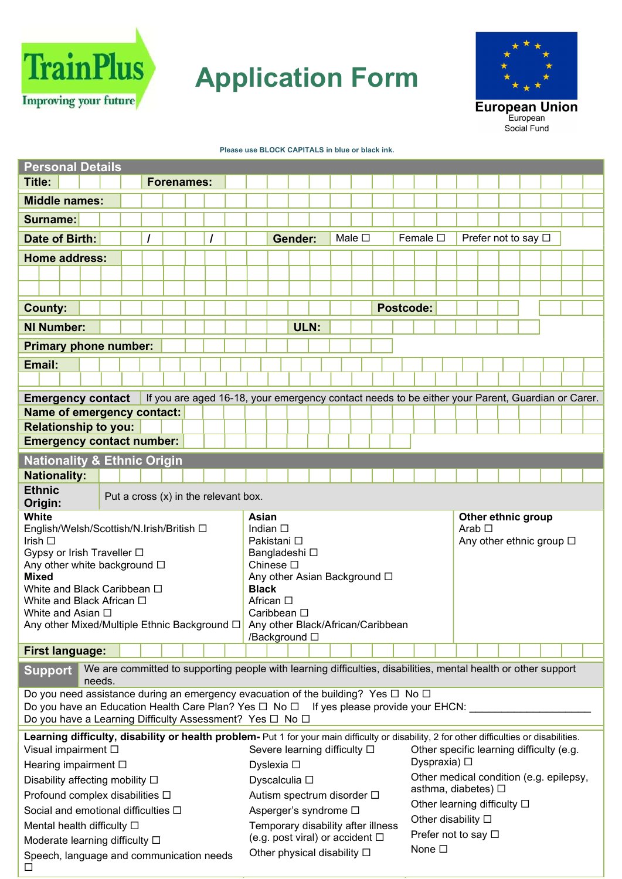

## Application Form



## Please use BLOCK CAPITALS in blue or black ink.

| <b>Personal Details</b>                                                                                                                                                                                                                                                                                                                                                                                                         |                                                                                                                          |                                                                                                  |  |                             |                                                                   |                                               |                                                                                                                                                                   |  |           |                                        |                                                                                                                                                     |  |                                                        |                                         |  |
|---------------------------------------------------------------------------------------------------------------------------------------------------------------------------------------------------------------------------------------------------------------------------------------------------------------------------------------------------------------------------------------------------------------------------------|--------------------------------------------------------------------------------------------------------------------------|--------------------------------------------------------------------------------------------------|--|-----------------------------|-------------------------------------------------------------------|-----------------------------------------------|-------------------------------------------------------------------------------------------------------------------------------------------------------------------|--|-----------|----------------------------------------|-----------------------------------------------------------------------------------------------------------------------------------------------------|--|--------------------------------------------------------|-----------------------------------------|--|
| <b>Title:</b>                                                                                                                                                                                                                                                                                                                                                                                                                   |                                                                                                                          | <b>Forenames:</b>                                                                                |  |                             |                                                                   |                                               |                                                                                                                                                                   |  |           |                                        |                                                                                                                                                     |  |                                                        |                                         |  |
| <b>Middle names:</b>                                                                                                                                                                                                                                                                                                                                                                                                            |                                                                                                                          |                                                                                                  |  |                             |                                                                   |                                               |                                                                                                                                                                   |  |           |                                        |                                                                                                                                                     |  |                                                        |                                         |  |
| <b>Surname:</b>                                                                                                                                                                                                                                                                                                                                                                                                                 |                                                                                                                          |                                                                                                  |  |                             |                                                                   |                                               |                                                                                                                                                                   |  |           |                                        |                                                                                                                                                     |  |                                                        |                                         |  |
| <b>Date of Birth:</b>                                                                                                                                                                                                                                                                                                                                                                                                           |                                                                                                                          |                                                                                                  |  |                             |                                                                   | <b>Gender:</b>                                | Male $\square$                                                                                                                                                    |  |           | Female $\square$                       |                                                                                                                                                     |  | Prefer not to say □                                    |                                         |  |
| <b>Home address:</b>                                                                                                                                                                                                                                                                                                                                                                                                            |                                                                                                                          |                                                                                                  |  |                             |                                                                   |                                               |                                                                                                                                                                   |  |           |                                        |                                                                                                                                                     |  |                                                        |                                         |  |
|                                                                                                                                                                                                                                                                                                                                                                                                                                 |                                                                                                                          |                                                                                                  |  |                             |                                                                   |                                               |                                                                                                                                                                   |  |           |                                        |                                                                                                                                                     |  |                                                        |                                         |  |
|                                                                                                                                                                                                                                                                                                                                                                                                                                 |                                                                                                                          |                                                                                                  |  |                             |                                                                   |                                               |                                                                                                                                                                   |  |           |                                        |                                                                                                                                                     |  |                                                        |                                         |  |
| <b>County:</b>                                                                                                                                                                                                                                                                                                                                                                                                                  |                                                                                                                          |                                                                                                  |  |                             |                                                                   |                                               |                                                                                                                                                                   |  | Postcode: |                                        |                                                                                                                                                     |  |                                                        |                                         |  |
| <b>NI Number:</b>                                                                                                                                                                                                                                                                                                                                                                                                               |                                                                                                                          |                                                                                                  |  |                             |                                                                   | ULN:                                          |                                                                                                                                                                   |  |           |                                        |                                                                                                                                                     |  |                                                        |                                         |  |
| <b>Primary phone number:</b>                                                                                                                                                                                                                                                                                                                                                                                                    |                                                                                                                          |                                                                                                  |  |                             |                                                                   |                                               |                                                                                                                                                                   |  |           |                                        |                                                                                                                                                     |  |                                                        |                                         |  |
| Email:                                                                                                                                                                                                                                                                                                                                                                                                                          |                                                                                                                          |                                                                                                  |  |                             |                                                                   |                                               |                                                                                                                                                                   |  |           |                                        |                                                                                                                                                     |  |                                                        |                                         |  |
|                                                                                                                                                                                                                                                                                                                                                                                                                                 |                                                                                                                          |                                                                                                  |  |                             |                                                                   |                                               |                                                                                                                                                                   |  |           |                                        |                                                                                                                                                     |  |                                                        |                                         |  |
| <b>Emergency contact</b>                                                                                                                                                                                                                                                                                                                                                                                                        |                                                                                                                          | If you are aged 16-18, your emergency contact needs to be either your Parent, Guardian or Carer. |  |                             |                                                                   |                                               |                                                                                                                                                                   |  |           |                                        |                                                                                                                                                     |  |                                                        |                                         |  |
| <b>Name of emergency contact:</b>                                                                                                                                                                                                                                                                                                                                                                                               |                                                                                                                          |                                                                                                  |  |                             |                                                                   |                                               |                                                                                                                                                                   |  |           |                                        |                                                                                                                                                     |  |                                                        |                                         |  |
| <b>Relationship to you:</b>                                                                                                                                                                                                                                                                                                                                                                                                     |                                                                                                                          |                                                                                                  |  |                             |                                                                   |                                               |                                                                                                                                                                   |  |           |                                        |                                                                                                                                                     |  |                                                        |                                         |  |
| <b>Emergency contact number:</b>                                                                                                                                                                                                                                                                                                                                                                                                |                                                                                                                          |                                                                                                  |  |                             |                                                                   |                                               |                                                                                                                                                                   |  |           |                                        |                                                                                                                                                     |  |                                                        |                                         |  |
| <b>Nationality &amp; Ethnic Origin</b>                                                                                                                                                                                                                                                                                                                                                                                          |                                                                                                                          |                                                                                                  |  |                             |                                                                   |                                               |                                                                                                                                                                   |  |           |                                        |                                                                                                                                                     |  |                                                        |                                         |  |
| <b>Nationality:</b>                                                                                                                                                                                                                                                                                                                                                                                                             |                                                                                                                          |                                                                                                  |  |                             |                                                                   |                                               |                                                                                                                                                                   |  |           |                                        |                                                                                                                                                     |  |                                                        |                                         |  |
| <b>Ethnic</b><br>Origin:                                                                                                                                                                                                                                                                                                                                                                                                        | Put a cross (x) in the relevant box.                                                                                     |                                                                                                  |  |                             |                                                                   |                                               |                                                                                                                                                                   |  |           |                                        |                                                                                                                                                     |  |                                                        |                                         |  |
| <b>White</b><br>English/Welsh/Scottish/N.Irish/British □<br>Irish $\square$<br>Gypsy or Irish Traveller □<br>Any other white background □<br><b>Mixed</b><br>White and Black Caribbean □<br>White and Black African $\Box$<br>White and Asian □<br>Any other Mixed/Multiple Ethnic Background □ Any other Black/African/Caribbean                                                                                               |                                                                                                                          |                                                                                                  |  | Asian<br><b>Black</b>       | Indian $\square$<br>Pakistani □<br>Chinese $\square$<br>African □ | Bangladeshi □<br>Caribbean □<br>/Background □ | Any other Asian Background $\square$                                                                                                                              |  |           |                                        | Arab $\Box$                                                                                                                                         |  | Other ethnic group<br>Any other ethnic group $\square$ |                                         |  |
| <b>First language:</b>                                                                                                                                                                                                                                                                                                                                                                                                          |                                                                                                                          |                                                                                                  |  |                             |                                                                   |                                               |                                                                                                                                                                   |  |           |                                        |                                                                                                                                                     |  |                                                        |                                         |  |
| <b>Support</b>                                                                                                                                                                                                                                                                                                                                                                                                                  | We are committed to supporting people with learning difficulties, disabilities, mental health or other support<br>needs. |                                                                                                  |  |                             |                                                                   |                                               |                                                                                                                                                                   |  |           |                                        |                                                                                                                                                     |  |                                                        |                                         |  |
| Do you need assistance during an emergency evacuation of the building? Yes $\Box$ No $\Box$<br>Do you have an Education Health Care Plan? Yes □ No □ If yes please provide your EHCN:<br>Do you have a Learning Difficulty Assessment? Yes □ No □                                                                                                                                                                               |                                                                                                                          |                                                                                                  |  |                             |                                                                   |                                               |                                                                                                                                                                   |  |           |                                        |                                                                                                                                                     |  |                                                        |                                         |  |
| Learning difficulty, disability or health problem- Put 1 for your main difficulty or disability, 2 for other difficulties or disabilities.<br>Visual impairment □<br>Hearing impairment □<br>Disability affecting mobility $\Box$<br>Profound complex disabilities □<br>Social and emotional difficulties □<br>Mental health difficulty $\square$<br>Moderate learning difficulty □<br>Speech, language and communication needs |                                                                                                                          |                                                                                                  |  | Other physical disability □ | Dyslexia □                                                        | Dyscalculia □                                 | Severe learning difficulty □<br>Autism spectrum disorder $\Box$<br>Asperger's syndrome □<br>Temporary disability after illness<br>(e.g. post viral) or accident □ |  |           | Dyspraxia) $\square$<br>None $\square$ | Other specific learning difficulty (e.g.<br>asthma, diabetes) □<br>Other learning difficulty □<br>Other disability $\square$<br>Prefer not to say □ |  |                                                        | Other medical condition (e.g. epilepsy, |  |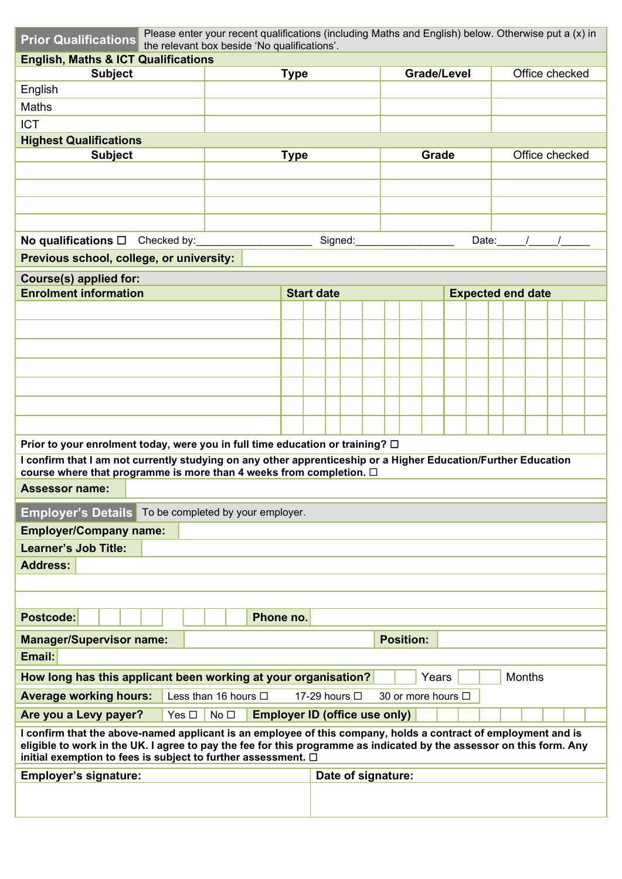| <b>Prior Qualifications</b>                                                                                                                                                                                                                                                                                  | Please enter your recent qualifications (including Maths and English) below. Otherwise put a (x) in<br>the relevant box beside 'No qualifications'. |             |                   |                    |  |                              |                    |  |                            |                |  |  |
|--------------------------------------------------------------------------------------------------------------------------------------------------------------------------------------------------------------------------------------------------------------------------------------------------------------|-----------------------------------------------------------------------------------------------------------------------------------------------------|-------------|-------------------|--------------------|--|------------------------------|--------------------|--|----------------------------|----------------|--|--|
| <b>English, Maths &amp; ICT Qualifications</b>                                                                                                                                                                                                                                                               |                                                                                                                                                     |             |                   |                    |  |                              |                    |  |                            |                |  |  |
| <b>Subject</b>                                                                                                                                                                                                                                                                                               |                                                                                                                                                     | <b>Type</b> |                   |                    |  |                              | <b>Grade/Level</b> |  |                            | Office checked |  |  |
| English                                                                                                                                                                                                                                                                                                      |                                                                                                                                                     |             |                   |                    |  |                              |                    |  |                            |                |  |  |
| Maths                                                                                                                                                                                                                                                                                                        |                                                                                                                                                     |             |                   |                    |  |                              |                    |  |                            |                |  |  |
| <b>ICT</b>                                                                                                                                                                                                                                                                                                   |                                                                                                                                                     |             |                   |                    |  |                              |                    |  |                            |                |  |  |
| <b>Highest Qualifications</b><br><b>Subject</b>                                                                                                                                                                                                                                                              |                                                                                                                                                     | <b>Type</b> |                   |                    |  |                              | Grade              |  |                            | Office checked |  |  |
|                                                                                                                                                                                                                                                                                                              |                                                                                                                                                     |             |                   |                    |  |                              |                    |  |                            |                |  |  |
|                                                                                                                                                                                                                                                                                                              |                                                                                                                                                     |             |                   |                    |  |                              |                    |  |                            |                |  |  |
|                                                                                                                                                                                                                                                                                                              |                                                                                                                                                     |             |                   |                    |  |                              |                    |  |                            |                |  |  |
|                                                                                                                                                                                                                                                                                                              |                                                                                                                                                     |             |                   |                    |  |                              |                    |  |                            |                |  |  |
|                                                                                                                                                                                                                                                                                                              |                                                                                                                                                     |             |                   |                    |  | Signed:_____________________ |                    |  | Date: $\frac{1}{\sqrt{2}}$ |                |  |  |
| Previous school, college, or university:                                                                                                                                                                                                                                                                     |                                                                                                                                                     |             |                   |                    |  |                              |                    |  |                            |                |  |  |
| <b>Course(s) applied for:</b>                                                                                                                                                                                                                                                                                |                                                                                                                                                     |             |                   |                    |  |                              |                    |  |                            |                |  |  |
| <b>Enrolment information</b>                                                                                                                                                                                                                                                                                 |                                                                                                                                                     |             | <b>Start date</b> |                    |  |                              |                    |  | <b>Expected end date</b>   |                |  |  |
|                                                                                                                                                                                                                                                                                                              |                                                                                                                                                     |             |                   |                    |  |                              |                    |  |                            |                |  |  |
|                                                                                                                                                                                                                                                                                                              |                                                                                                                                                     |             |                   |                    |  |                              |                    |  |                            |                |  |  |
|                                                                                                                                                                                                                                                                                                              |                                                                                                                                                     |             |                   |                    |  |                              |                    |  |                            |                |  |  |
|                                                                                                                                                                                                                                                                                                              |                                                                                                                                                     |             |                   |                    |  |                              |                    |  |                            |                |  |  |
|                                                                                                                                                                                                                                                                                                              |                                                                                                                                                     |             |                   |                    |  |                              |                    |  |                            |                |  |  |
|                                                                                                                                                                                                                                                                                                              |                                                                                                                                                     |             |                   |                    |  |                              |                    |  |                            |                |  |  |
|                                                                                                                                                                                                                                                                                                              |                                                                                                                                                     |             |                   |                    |  |                              |                    |  |                            |                |  |  |
| Prior to your enrolment today, were you in full time education or training? $\Box$                                                                                                                                                                                                                           |                                                                                                                                                     |             |                   |                    |  |                              |                    |  |                            |                |  |  |
| I confirm that I am not currently studying on any other apprenticeship or a Higher Education/Further Education<br>course where that programme is more than 4 weeks from completion. $\Box$                                                                                                                   |                                                                                                                                                     |             |                   |                    |  |                              |                    |  |                            |                |  |  |
| <b>Assessor name:</b>                                                                                                                                                                                                                                                                                        |                                                                                                                                                     |             |                   |                    |  |                              |                    |  |                            |                |  |  |
| <b>Employer's Details</b>                                                                                                                                                                                                                                                                                    | To be completed by your employer.                                                                                                                   |             |                   |                    |  |                              |                    |  |                            |                |  |  |
| <b>Employer/Company name:</b>                                                                                                                                                                                                                                                                                |                                                                                                                                                     |             |                   |                    |  |                              |                    |  |                            |                |  |  |
| <b>Learner's Job Title:</b>                                                                                                                                                                                                                                                                                  |                                                                                                                                                     |             |                   |                    |  |                              |                    |  |                            |                |  |  |
| <b>Address:</b>                                                                                                                                                                                                                                                                                              |                                                                                                                                                     |             |                   |                    |  |                              |                    |  |                            |                |  |  |
|                                                                                                                                                                                                                                                                                                              |                                                                                                                                                     |             |                   |                    |  |                              |                    |  |                            |                |  |  |
|                                                                                                                                                                                                                                                                                                              |                                                                                                                                                     |             |                   |                    |  |                              |                    |  |                            |                |  |  |
| <b>Postcode:</b>                                                                                                                                                                                                                                                                                             | Phone no.                                                                                                                                           |             |                   |                    |  |                              |                    |  |                            |                |  |  |
| <b>Manager/Supervisor name:</b>                                                                                                                                                                                                                                                                              |                                                                                                                                                     |             |                   |                    |  | <b>Position:</b>             |                    |  |                            |                |  |  |
| Email:                                                                                                                                                                                                                                                                                                       |                                                                                                                                                     |             |                   |                    |  |                              |                    |  |                            |                |  |  |
| How long has this applicant been working at your organisation?                                                                                                                                                                                                                                               |                                                                                                                                                     |             |                   |                    |  |                              | Years              |  | Months                     |                |  |  |
| <b>Average working hours:</b>                                                                                                                                                                                                                                                                                | Less than 16 hours □                                                                                                                                |             |                   | 17-29 hours □      |  | 30 or more hours □           |                    |  |                            |                |  |  |
| Are you a Levy payer?<br>Yes $\square$                                                                                                                                                                                                                                                                       | No <sub>1</sub><br><b>Employer ID (office use only)</b>                                                                                             |             |                   |                    |  |                              |                    |  |                            |                |  |  |
| I confirm that the above-named applicant is an employee of this company, holds a contract of employment and is<br>eligible to work in the UK. I agree to pay the fee for this programme as indicated by the assessor on this form. Any<br>initial exemption to fees is subject to further assessment. $\Box$ |                                                                                                                                                     |             |                   |                    |  |                              |                    |  |                            |                |  |  |
| <b>Employer's signature:</b>                                                                                                                                                                                                                                                                                 |                                                                                                                                                     |             |                   | Date of signature: |  |                              |                    |  |                            |                |  |  |
|                                                                                                                                                                                                                                                                                                              |                                                                                                                                                     |             |                   |                    |  |                              |                    |  |                            |                |  |  |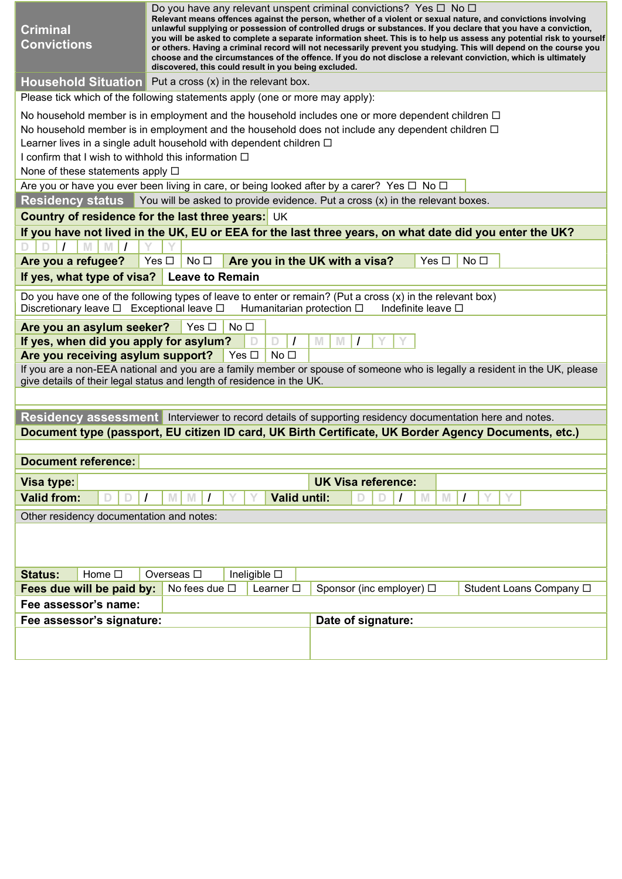| <b>Criminal</b><br><b>Convictions</b>                                                                                      | Do you have any relevant unspent criminal convictions? Yes $\Box$ No $\Box$<br>Relevant means offences against the person, whether of a violent or sexual nature, and convictions involving<br>unlawful supplying or possession of controlled drugs or substances. If you declare that you have a conviction,<br>you will be asked to complete a separate information sheet. This is to help us assess any potential risk to yourself<br>or others. Having a criminal record will not necessarily prevent you studying. This will depend on the course you<br>choose and the circumstances of the offence. If you do not disclose a relevant conviction, which is ultimately<br>discovered, this could result in you being excluded. |
|----------------------------------------------------------------------------------------------------------------------------|--------------------------------------------------------------------------------------------------------------------------------------------------------------------------------------------------------------------------------------------------------------------------------------------------------------------------------------------------------------------------------------------------------------------------------------------------------------------------------------------------------------------------------------------------------------------------------------------------------------------------------------------------------------------------------------------------------------------------------------|
|                                                                                                                            | Household Situation $\overline{P}$ Put a cross $(x)$ in the relevant box.                                                                                                                                                                                                                                                                                                                                                                                                                                                                                                                                                                                                                                                            |
|                                                                                                                            | Please tick which of the following statements apply (one or more may apply):                                                                                                                                                                                                                                                                                                                                                                                                                                                                                                                                                                                                                                                         |
| I confirm that I wish to withhold this information $\Box$<br>None of these statements apply $\square$                      | No household member is in employment and the household includes one or more dependent children $\Box$<br>No household member is in employment and the household does not include any dependent children $\Box$<br>Learner lives in a single adult household with dependent children $\Box$<br>Are you or have you ever been living in care, or being looked after by a carer? Yes $\Box$ No $\Box$                                                                                                                                                                                                                                                                                                                                   |
|                                                                                                                            | <b>Residency status</b> You will be asked to provide evidence. Put a cross $(x)$ in the relevant boxes.                                                                                                                                                                                                                                                                                                                                                                                                                                                                                                                                                                                                                              |
|                                                                                                                            | Country of residence for the last three years: UK                                                                                                                                                                                                                                                                                                                                                                                                                                                                                                                                                                                                                                                                                    |
|                                                                                                                            | If you have not lived in the UK, EU or EEA for the last three years, on what date did you enter the UK?                                                                                                                                                                                                                                                                                                                                                                                                                                                                                                                                                                                                                              |
|                                                                                                                            |                                                                                                                                                                                                                                                                                                                                                                                                                                                                                                                                                                                                                                                                                                                                      |
| Are you a refugee?                                                                                                         | Yes $\square$<br>No <sub>1</sub><br>Are you in the UK with a visa?<br>Yes □<br>No $\square$                                                                                                                                                                                                                                                                                                                                                                                                                                                                                                                                                                                                                                          |
| If yes, what type of visa?                                                                                                 | <b>Leave to Remain</b>                                                                                                                                                                                                                                                                                                                                                                                                                                                                                                                                                                                                                                                                                                               |
| Discretionary leave □ Exceptional leave □                                                                                  | Do you have one of the following types of leave to enter or remain? (Put a cross $(x)$ in the relevant box)<br>Humanitarian protection $\Box$<br>Indefinite leave □                                                                                                                                                                                                                                                                                                                                                                                                                                                                                                                                                                  |
| Are you an asylum seeker?<br>If yes, when did you apply for asylum?<br>Are you receiving asylum support? $\Box$ Yes $\Box$ | Yes $\square$<br>No <sub>1</sub><br>M<br>M<br>No <sub>1</sub><br>If you are a non-EEA national and you are a family member or spouse of someone who is legally a resident in the UK, please<br>give details of their legal status and length of residence in the UK.                                                                                                                                                                                                                                                                                                                                                                                                                                                                 |
|                                                                                                                            |                                                                                                                                                                                                                                                                                                                                                                                                                                                                                                                                                                                                                                                                                                                                      |
|                                                                                                                            | Residency assessment Interviewer to record details of supporting residency documentation here and notes.                                                                                                                                                                                                                                                                                                                                                                                                                                                                                                                                                                                                                             |
|                                                                                                                            | Document type (passport, EU citizen ID card, UK Birth Certificate, UK Border Agency Documents, etc.)                                                                                                                                                                                                                                                                                                                                                                                                                                                                                                                                                                                                                                 |
|                                                                                                                            |                                                                                                                                                                                                                                                                                                                                                                                                                                                                                                                                                                                                                                                                                                                                      |
| <b>Document reference:</b>                                                                                                 |                                                                                                                                                                                                                                                                                                                                                                                                                                                                                                                                                                                                                                                                                                                                      |
| Visa type:                                                                                                                 | <b>UK Visa reference:</b>                                                                                                                                                                                                                                                                                                                                                                                                                                                                                                                                                                                                                                                                                                            |
| <b>Valid from:</b>                                                                                                         | <b>Valid until:</b><br>$\prime$<br>M<br>M<br>$\prime$                                                                                                                                                                                                                                                                                                                                                                                                                                                                                                                                                                                                                                                                                |
| Other residency documentation and notes:                                                                                   |                                                                                                                                                                                                                                                                                                                                                                                                                                                                                                                                                                                                                                                                                                                                      |
|                                                                                                                            |                                                                                                                                                                                                                                                                                                                                                                                                                                                                                                                                                                                                                                                                                                                                      |
| Home $\square$<br><b>Status:</b>                                                                                           | Ineligible $\square$<br>Overseas $\square$                                                                                                                                                                                                                                                                                                                                                                                                                                                                                                                                                                                                                                                                                           |
| Fees due will be paid by:                                                                                                  | No fees due $\square$<br>Sponsor (inc employer) □<br>Student Loans Company □<br>Learner $\square$                                                                                                                                                                                                                                                                                                                                                                                                                                                                                                                                                                                                                                    |
| Fee assessor's name:                                                                                                       |                                                                                                                                                                                                                                                                                                                                                                                                                                                                                                                                                                                                                                                                                                                                      |
| Fee assessor's signature:                                                                                                  | Date of signature:                                                                                                                                                                                                                                                                                                                                                                                                                                                                                                                                                                                                                                                                                                                   |
|                                                                                                                            |                                                                                                                                                                                                                                                                                                                                                                                                                                                                                                                                                                                                                                                                                                                                      |